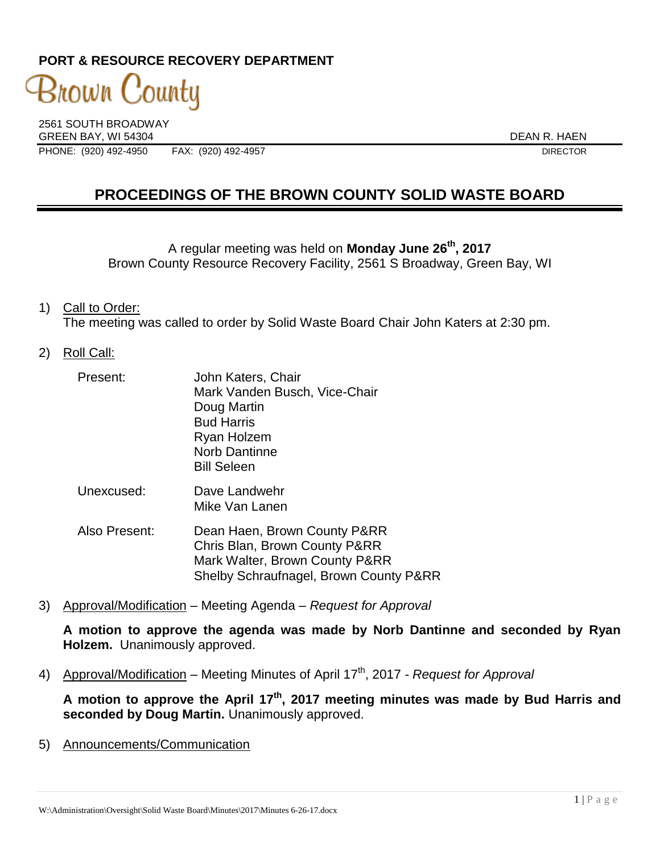# **PORT & RESOURCE RECOVERY DEPARTMENT**

3nown County

2561 SOUTH BROADWAY GREEN BAY, WI 54304 DEAN R. HAEN PHONE: (920) 492-4950 FAX: (920) 492-4957 DIRECTOR

# **PROCEEDINGS OF THE BROWN COUNTY SOLID WASTE BOARD**

A regular meeting was held on **Monday June 26th , 2017** Brown County Resource Recovery Facility, 2561 S Broadway, Green Bay, WI

- 1) Call to Order: The meeting was called to order by Solid Waste Board Chair John Katers at 2:30 pm.
- 2) Roll Call:

| Present:       | John Katers, Chair<br>Mark Vanden Busch, Vice-Chair<br>Doug Martin<br><b>Bud Harris</b><br>Ryan Holzem<br><b>Norb Dantinne</b><br><b>Bill Seleen</b> |
|----------------|------------------------------------------------------------------------------------------------------------------------------------------------------|
| Unexcused:     | Dave Landwehr<br>Mike Van Lanen                                                                                                                      |
| Daniel – Aleks |                                                                                                                                                      |

- Also Present: Dean Haen, Brown County P&RR Chris Blan, Brown County P&RR Mark Walter, Brown County P&RR Shelby Schraufnagel, Brown County P&RR
- 3) Approval/Modification Meeting Agenda *Request for Approval*

**A motion to approve the agenda was made by Norb Dantinne and seconded by Ryan Holzem.** Unanimously approved.

4) Approval/Modification – Meeting Minutes of April 17th, 2017 *- Request for Approval*

**A motion to approve the April 17th , 2017 meeting minutes was made by Bud Harris and seconded by Doug Martin.** Unanimously approved.

5) Announcements/Communication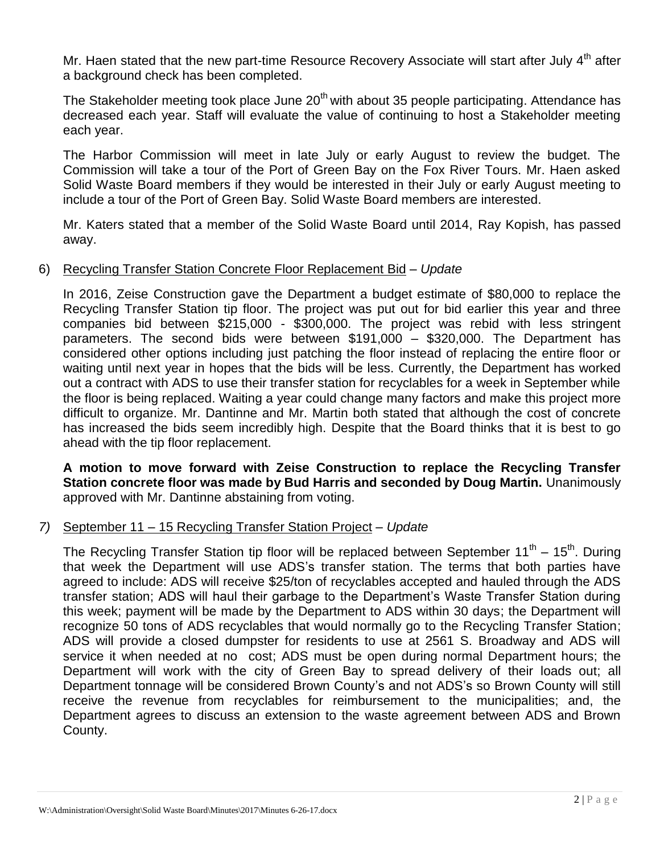Mr. Haen stated that the new part-time Resource Recovery Associate will start after July 4<sup>th</sup> after a background check has been completed.

The Stakeholder meeting took place June 20<sup>th</sup> with about 35 people participating. Attendance has decreased each year. Staff will evaluate the value of continuing to host a Stakeholder meeting each year.

The Harbor Commission will meet in late July or early August to review the budget. The Commission will take a tour of the Port of Green Bay on the Fox River Tours. Mr. Haen asked Solid Waste Board members if they would be interested in their July or early August meeting to include a tour of the Port of Green Bay. Solid Waste Board members are interested.

Mr. Katers stated that a member of the Solid Waste Board until 2014, Ray Kopish, has passed away.

## 6) Recycling Transfer Station Concrete Floor Replacement Bid – *Update*

In 2016, Zeise Construction gave the Department a budget estimate of \$80,000 to replace the Recycling Transfer Station tip floor. The project was put out for bid earlier this year and three companies bid between \$215,000 - \$300,000. The project was rebid with less stringent parameters. The second bids were between \$191,000 – \$320,000. The Department has considered other options including just patching the floor instead of replacing the entire floor or waiting until next year in hopes that the bids will be less. Currently, the Department has worked out a contract with ADS to use their transfer station for recyclables for a week in September while the floor is being replaced. Waiting a year could change many factors and make this project more difficult to organize. Mr. Dantinne and Mr. Martin both stated that although the cost of concrete has increased the bids seem incredibly high. Despite that the Board thinks that it is best to go ahead with the tip floor replacement.

**A motion to move forward with Zeise Construction to replace the Recycling Transfer Station concrete floor was made by Bud Harris and seconded by Doug Martin.** Unanimously approved with Mr. Dantinne abstaining from voting.

## *7)* September 11 – 15 Recycling Transfer Station Project – *Update*

The Recycling Transfer Station tip floor will be replaced between September 11<sup>th</sup> – 15<sup>th</sup>. During that week the Department will use ADS's transfer station. The terms that both parties have agreed to include: ADS will receive \$25/ton of recyclables accepted and hauled through the ADS transfer station; ADS will haul their garbage to the Department's Waste Transfer Station during this week; payment will be made by the Department to ADS within 30 days; the Department will recognize 50 tons of ADS recyclables that would normally go to the Recycling Transfer Station; ADS will provide a closed dumpster for residents to use at 2561 S. Broadway and ADS will service it when needed at no cost; ADS must be open during normal Department hours; the Department will work with the city of Green Bay to spread delivery of their loads out; all Department tonnage will be considered Brown County's and not ADS's so Brown County will still receive the revenue from recyclables for reimbursement to the municipalities; and, the Department agrees to discuss an extension to the waste agreement between ADS and Brown County.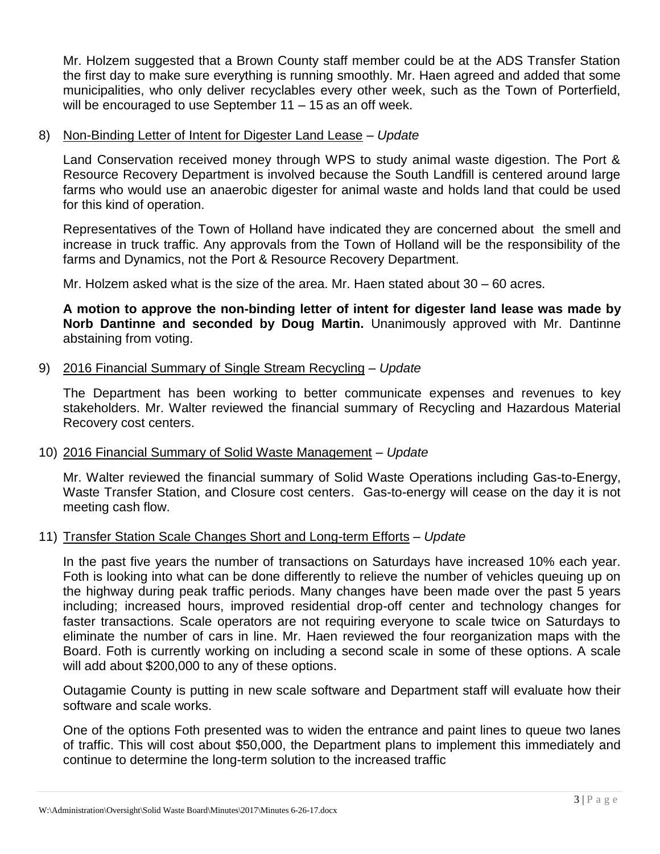Mr. Holzem suggested that a Brown County staff member could be at the ADS Transfer Station the first day to make sure everything is running smoothly. Mr. Haen agreed and added that some municipalities, who only deliver recyclables every other week, such as the Town of Porterfield, will be encouraged to use September 11 – 15 as an off week.

#### 8) Non-Binding Letter of Intent for Digester Land Lease – *Update*

Land Conservation received money through WPS to study animal waste digestion. The Port & Resource Recovery Department is involved because the South Landfill is centered around large farms who would use an anaerobic digester for animal waste and holds land that could be used for this kind of operation.

Representatives of the Town of Holland have indicated they are concerned about the smell and increase in truck traffic. Any approvals from the Town of Holland will be the responsibility of the farms and Dynamics, not the Port & Resource Recovery Department.

Mr. Holzem asked what is the size of the area. Mr. Haen stated about 30 – 60 acres.

**A motion to approve the non-binding letter of intent for digester land lease was made by Norb Dantinne and seconded by Doug Martin.** Unanimously approved with Mr. Dantinne abstaining from voting.

## 9) 2016 Financial Summary of Single Stream Recycling – *Update*

The Department has been working to better communicate expenses and revenues to key stakeholders. Mr. Walter reviewed the financial summary of Recycling and Hazardous Material Recovery cost centers.

#### 10) 2016 Financial Summary of Solid Waste Management – *Update*

Mr. Walter reviewed the financial summary of Solid Waste Operations including Gas-to-Energy, Waste Transfer Station, and Closure cost centers. Gas-to-energy will cease on the day it is not meeting cash flow.

## 11) Transfer Station Scale Changes Short and Long-term Efforts – *Update*

In the past five years the number of transactions on Saturdays have increased 10% each year. Foth is looking into what can be done differently to relieve the number of vehicles queuing up on the highway during peak traffic periods. Many changes have been made over the past 5 years including; increased hours, improved residential drop-off center and technology changes for faster transactions. Scale operators are not requiring everyone to scale twice on Saturdays to eliminate the number of cars in line. Mr. Haen reviewed the four reorganization maps with the Board. Foth is currently working on including a second scale in some of these options. A scale will add about \$200,000 to any of these options.

Outagamie County is putting in new scale software and Department staff will evaluate how their software and scale works.

One of the options Foth presented was to widen the entrance and paint lines to queue two lanes of traffic. This will cost about \$50,000, the Department plans to implement this immediately and continue to determine the long-term solution to the increased traffic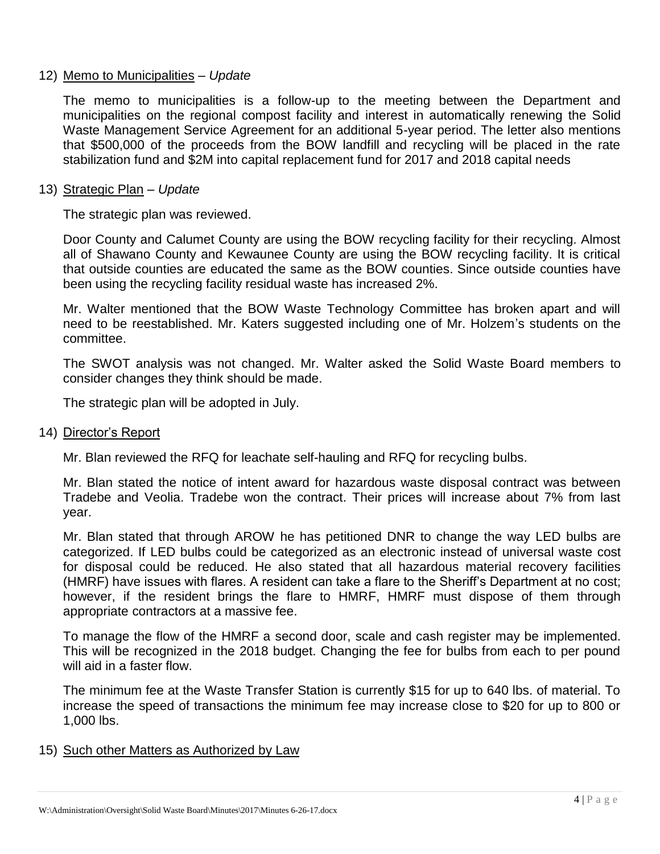## 12) Memo to Municipalities – *Update*

The memo to municipalities is a follow-up to the meeting between the Department and municipalities on the regional compost facility and interest in automatically renewing the Solid Waste Management Service Agreement for an additional 5-year period. The letter also mentions that \$500,000 of the proceeds from the BOW landfill and recycling will be placed in the rate stabilization fund and \$2M into capital replacement fund for 2017 and 2018 capital needs

#### 13) Strategic Plan – *Update*

The strategic plan was reviewed.

Door County and Calumet County are using the BOW recycling facility for their recycling. Almost all of Shawano County and Kewaunee County are using the BOW recycling facility. It is critical that outside counties are educated the same as the BOW counties. Since outside counties have been using the recycling facility residual waste has increased 2%.

Mr. Walter mentioned that the BOW Waste Technology Committee has broken apart and will need to be reestablished. Mr. Katers suggested including one of Mr. Holzem's students on the committee.

The SWOT analysis was not changed. Mr. Walter asked the Solid Waste Board members to consider changes they think should be made.

The strategic plan will be adopted in July.

#### 14) Director's Report

Mr. Blan reviewed the RFQ for leachate self-hauling and RFQ for recycling bulbs.

Mr. Blan stated the notice of intent award for hazardous waste disposal contract was between Tradebe and Veolia. Tradebe won the contract. Their prices will increase about 7% from last year.

Mr. Blan stated that through AROW he has petitioned DNR to change the way LED bulbs are categorized. If LED bulbs could be categorized as an electronic instead of universal waste cost for disposal could be reduced. He also stated that all hazardous material recovery facilities (HMRF) have issues with flares. A resident can take a flare to the Sheriff's Department at no cost; however, if the resident brings the flare to HMRF, HMRF must dispose of them through appropriate contractors at a massive fee.

To manage the flow of the HMRF a second door, scale and cash register may be implemented. This will be recognized in the 2018 budget. Changing the fee for bulbs from each to per pound will aid in a faster flow.

The minimum fee at the Waste Transfer Station is currently \$15 for up to 640 lbs. of material. To increase the speed of transactions the minimum fee may increase close to \$20 for up to 800 or 1,000 lbs.

#### 15) Such other Matters as Authorized by Law